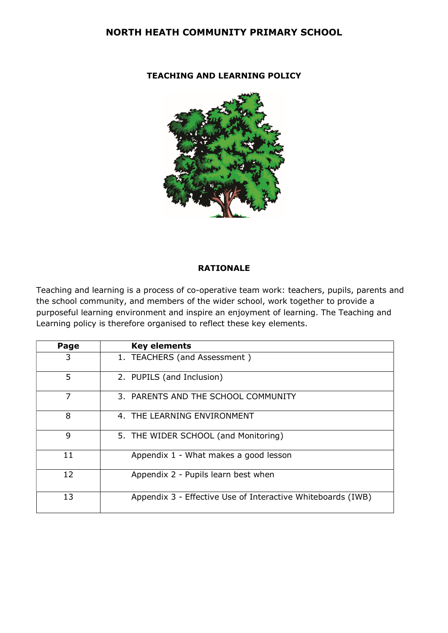### NORTH HEATH COMMUNITY PRIMARY SCHOOL

#### TEACHING AND LEARNING POLICY



#### RATIONALE

Teaching and learning is a process of co-operative team work: teachers, pupils, parents and the school community, and members of the wider school, work together to provide a purposeful learning environment and inspire an enjoyment of learning. The Teaching and Learning policy is therefore organised to reflect these key elements.

| Page | <b>Key elements</b>                                         |
|------|-------------------------------------------------------------|
| 3    | 1. TEACHERS (and Assessment)                                |
| 5    | 2. PUPILS (and Inclusion)                                   |
| 7    | 3. PARENTS AND THE SCHOOL COMMUNITY                         |
| 8    | 4. THE LEARNING ENVIRONMENT                                 |
| 9    | 5. THE WIDER SCHOOL (and Monitoring)                        |
| 11   | Appendix 1 - What makes a good lesson                       |
| 12   | Appendix 2 - Pupils learn best when                         |
| 13   | Appendix 3 - Effective Use of Interactive Whiteboards (IWB) |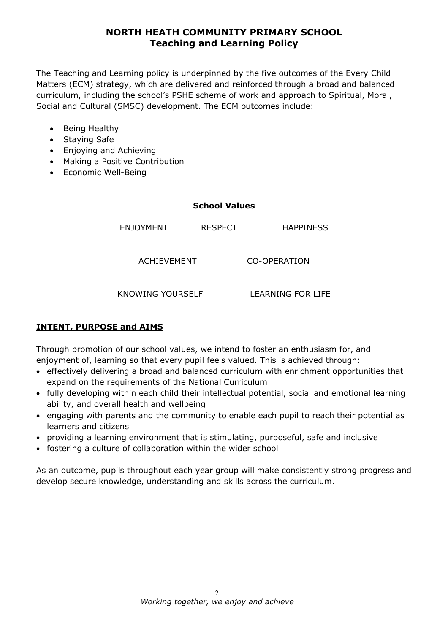The Teaching and Learning policy is underpinned by the five outcomes of the Every Child Matters (ECM) strategy, which are delivered and reinforced through a broad and balanced curriculum, including the school's PSHE scheme of work and approach to Spiritual, Moral, Social and Cultural (SMSC) development. The ECM outcomes include:

- Being Healthy
- Staying Safe
- Enjoying and Achieving
- Making a Positive Contribution
- Economic Well-Being

#### School Values

ENJOYMENT RESPECT HAPPINESS

ACHIEVEMENT CO-OPERATION

KNOWING YOURSELF LEARNING FOR LIFE

### INTENT, PURPOSE and AIMS

Through promotion of our school values, we intend to foster an enthusiasm for, and enjoyment of, learning so that every pupil feels valued. This is achieved through:

- effectively delivering a broad and balanced curriculum with enrichment opportunities that expand on the requirements of the National Curriculum
- fully developing within each child their intellectual potential, social and emotional learning ability, and overall health and wellbeing
- engaging with parents and the community to enable each pupil to reach their potential as learners and citizens
- providing a learning environment that is stimulating, purposeful, safe and inclusive
- fostering a culture of collaboration within the wider school

As an outcome, pupils throughout each year group will make consistently strong progress and develop secure knowledge, understanding and skills across the curriculum.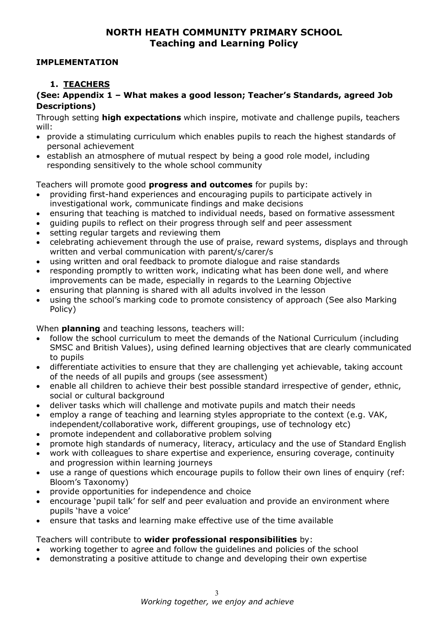#### IMPLEMENTATION

### 1. TEACHERS

### (See: Appendix 1 – What makes a good lesson; Teacher's Standards, agreed Job Descriptions)

Through setting **high expectations** which inspire, motivate and challenge pupils, teachers will:

- provide a stimulating curriculum which enables pupils to reach the highest standards of personal achievement
- establish an atmosphere of mutual respect by being a good role model, including responding sensitively to the whole school community

Teachers will promote good progress and outcomes for pupils by:

- providing first-hand experiences and encouraging pupils to participate actively in investigational work, communicate findings and make decisions
- ensuring that teaching is matched to individual needs, based on formative assessment
- guiding pupils to reflect on their progress through self and peer assessment
- setting regular targets and reviewing them
- celebrating achievement through the use of praise, reward systems, displays and through written and verbal communication with parent/s/carer/s
- using written and oral feedback to promote dialogue and raise standards
- responding promptly to written work, indicating what has been done well, and where improvements can be made, especially in regards to the Learning Objective
- ensuring that planning is shared with all adults involved in the lesson
- using the school's marking code to promote consistency of approach (See also Marking Policy)

When **planning** and teaching lessons, teachers will:

- follow the school curriculum to meet the demands of the National Curriculum (including SMSC and British Values), using defined learning objectives that are clearly communicated to pupils
- differentiate activities to ensure that they are challenging yet achievable, taking account of the needs of all pupils and groups (see assessment)
- enable all children to achieve their best possible standard irrespective of gender, ethnic, social or cultural background
- deliver tasks which will challenge and motivate pupils and match their needs
- employ a range of teaching and learning styles appropriate to the context (e.g. VAK, independent/collaborative work, different groupings, use of technology etc)
- promote independent and collaborative problem solving
- promote high standards of numeracy, literacy, articulacy and the use of Standard English
- work with colleagues to share expertise and experience, ensuring coverage, continuity and progression within learning journeys
- use a range of questions which encourage pupils to follow their own lines of enquiry (ref: Bloom's Taxonomy)
- provide opportunities for independence and choice
- encourage 'pupil talk' for self and peer evaluation and provide an environment where pupils 'have a voice'
- ensure that tasks and learning make effective use of the time available

Teachers will contribute to wider professional responsibilities by:

- working together to agree and follow the guidelines and policies of the school
- demonstrating a positive attitude to change and developing their own expertise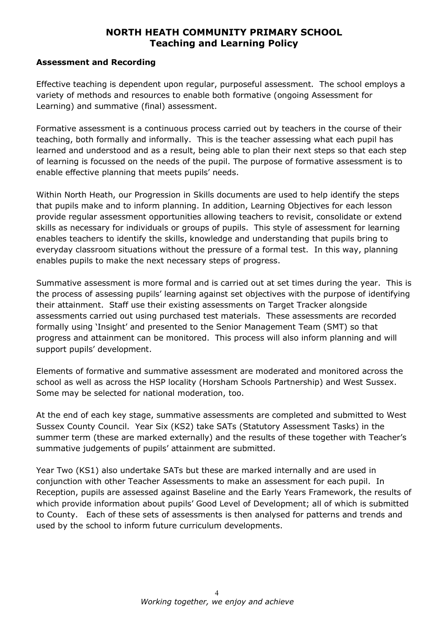#### Assessment and Recording

Effective teaching is dependent upon regular, purposeful assessment. The school employs a variety of methods and resources to enable both formative (ongoing Assessment for Learning) and summative (final) assessment.

Formative assessment is a continuous process carried out by teachers in the course of their teaching, both formally and informally. This is the teacher assessing what each pupil has learned and understood and as a result, being able to plan their next steps so that each step of learning is focussed on the needs of the pupil. The purpose of formative assessment is to enable effective planning that meets pupils' needs.

Within North Heath, our Progression in Skills documents are used to help identify the steps that pupils make and to inform planning. In addition, Learning Objectives for each lesson provide regular assessment opportunities allowing teachers to revisit, consolidate or extend skills as necessary for individuals or groups of pupils. This style of assessment for learning enables teachers to identify the skills, knowledge and understanding that pupils bring to everyday classroom situations without the pressure of a formal test. In this way, planning enables pupils to make the next necessary steps of progress.

Summative assessment is more formal and is carried out at set times during the year. This is the process of assessing pupils' learning against set objectives with the purpose of identifying their attainment. Staff use their existing assessments on Target Tracker alongside assessments carried out using purchased test materials. These assessments are recorded formally using 'Insight' and presented to the Senior Management Team (SMT) so that progress and attainment can be monitored. This process will also inform planning and will support pupils' development.

Elements of formative and summative assessment are moderated and monitored across the school as well as across the HSP locality (Horsham Schools Partnership) and West Sussex. Some may be selected for national moderation, too.

At the end of each key stage, summative assessments are completed and submitted to West Sussex County Council. Year Six (KS2) take SATs (Statutory Assessment Tasks) in the summer term (these are marked externally) and the results of these together with Teacher's summative judgements of pupils' attainment are submitted.

Year Two (KS1) also undertake SATs but these are marked internally and are used in conjunction with other Teacher Assessments to make an assessment for each pupil. In Reception, pupils are assessed against Baseline and the Early Years Framework, the results of which provide information about pupils' Good Level of Development; all of which is submitted to County. Each of these sets of assessments is then analysed for patterns and trends and used by the school to inform future curriculum developments.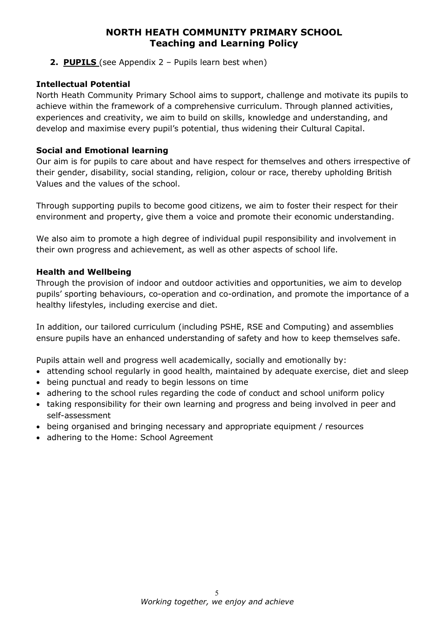**2. PUPILS** (see Appendix  $2 -$  Pupils learn best when)

### Intellectual Potential

North Heath Community Primary School aims to support, challenge and motivate its pupils to achieve within the framework of a comprehensive curriculum. Through planned activities, experiences and creativity, we aim to build on skills, knowledge and understanding, and develop and maximise every pupil's potential, thus widening their Cultural Capital.

### Social and Emotional learning

Our aim is for pupils to care about and have respect for themselves and others irrespective of their gender, disability, social standing, religion, colour or race, thereby upholding British Values and the values of the school.

Through supporting pupils to become good citizens, we aim to foster their respect for their environment and property, give them a voice and promote their economic understanding.

We also aim to promote a high degree of individual pupil responsibility and involvement in their own progress and achievement, as well as other aspects of school life.

### Health and Wellbeing

Through the provision of indoor and outdoor activities and opportunities, we aim to develop pupils' sporting behaviours, co-operation and co-ordination, and promote the importance of a healthy lifestyles, including exercise and diet.

In addition, our tailored curriculum (including PSHE, RSE and Computing) and assemblies ensure pupils have an enhanced understanding of safety and how to keep themselves safe.

Pupils attain well and progress well academically, socially and emotionally by:

- attending school regularly in good health, maintained by adequate exercise, diet and sleep
- being punctual and ready to begin lessons on time
- adhering to the school rules regarding the code of conduct and school uniform policy
- taking responsibility for their own learning and progress and being involved in peer and self-assessment
- being organised and bringing necessary and appropriate equipment / resources
- adhering to the Home: School Agreement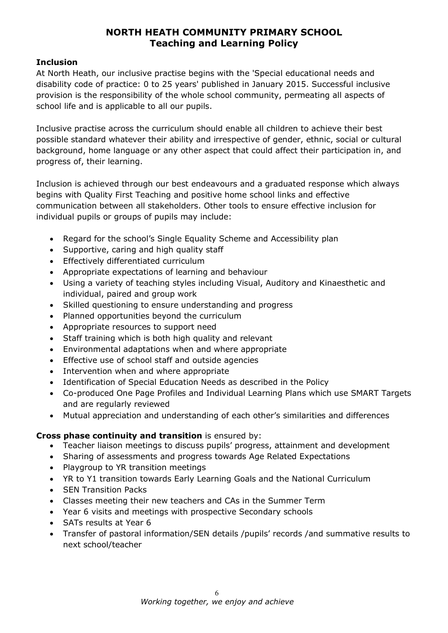#### Inclusion

At North Heath, our inclusive practise begins with the 'Special educational needs and disability code of practice: 0 to 25 years' published in January 2015. Successful inclusive provision is the responsibility of the whole school community, permeating all aspects of school life and is applicable to all our pupils.

Inclusive practise across the curriculum should enable all children to achieve their best possible standard whatever their ability and irrespective of gender, ethnic, social or cultural background, home language or any other aspect that could affect their participation in, and progress of, their learning.

Inclusion is achieved through our best endeavours and a graduated response which always begins with Quality First Teaching and positive home school links and effective communication between all stakeholders. Other tools to ensure effective inclusion for individual pupils or groups of pupils may include:

- Regard for the school's Single Equality Scheme and Accessibility plan
- Supportive, caring and high quality staff
- **•** Effectively differentiated curriculum
- Appropriate expectations of learning and behaviour
- Using a variety of teaching styles including Visual, Auditory and Kinaesthetic and individual, paired and group work
- Skilled questioning to ensure understanding and progress
- Planned opportunities beyond the curriculum
- Appropriate resources to support need
- Staff training which is both high quality and relevant
- Environmental adaptations when and where appropriate
- Effective use of school staff and outside agencies
- Intervention when and where appropriate
- Identification of Special Education Needs as described in the Policy
- Co-produced One Page Profiles and Individual Learning Plans which use SMART Targets and are regularly reviewed
- Mutual appreciation and understanding of each other's similarities and differences

### Cross phase continuity and transition is ensured by:

- Teacher liaison meetings to discuss pupils' progress, attainment and development
- Sharing of assessments and progress towards Age Related Expectations
- Playgroup to YR transition meetings
- YR to Y1 transition towards Early Learning Goals and the National Curriculum
- SEN Transition Packs
- Classes meeting their new teachers and CAs in the Summer Term
- Year 6 visits and meetings with prospective Secondary schools
- SATs results at Year 6
- Transfer of pastoral information/SEN details /pupils' records /and summative results to next school/teacher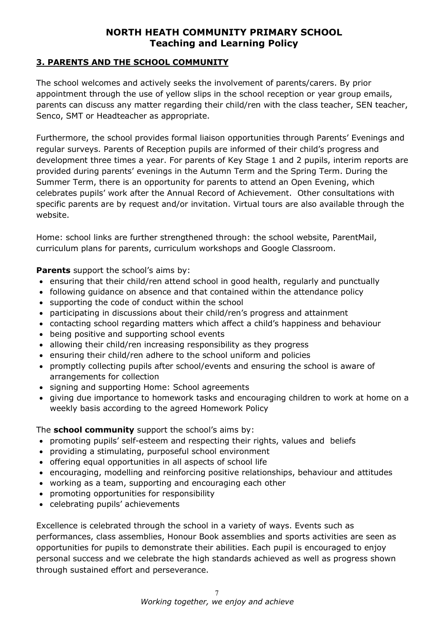### 3. PARENTS AND THE SCHOOL COMMUNITY

The school welcomes and actively seeks the involvement of parents/carers. By prior appointment through the use of yellow slips in the school reception or year group emails, parents can discuss any matter regarding their child/ren with the class teacher, SEN teacher, Senco, SMT or Headteacher as appropriate.

Furthermore, the school provides formal liaison opportunities through Parents' Evenings and regular surveys. Parents of Reception pupils are informed of their child's progress and development three times a year. For parents of Key Stage 1 and 2 pupils, interim reports are provided during parents' evenings in the Autumn Term and the Spring Term. During the Summer Term, there is an opportunity for parents to attend an Open Evening, which celebrates pupils' work after the Annual Record of Achievement. Other consultations with specific parents are by request and/or invitation. Virtual tours are also available through the website.

Home: school links are further strengthened through: the school website, ParentMail, curriculum plans for parents, curriculum workshops and Google Classroom.

Parents support the school's aims by:

- ensuring that their child/ren attend school in good health, regularly and punctually
- following guidance on absence and that contained within the attendance policy
- supporting the code of conduct within the school
- participating in discussions about their child/ren's progress and attainment
- contacting school regarding matters which affect a child's happiness and behaviour
- being positive and supporting school events
- allowing their child/ren increasing responsibility as they progress
- ensuring their child/ren adhere to the school uniform and policies
- promptly collecting pupils after school/events and ensuring the school is aware of arrangements for collection
- signing and supporting Home: School agreements
- giving due importance to homework tasks and encouraging children to work at home on a weekly basis according to the agreed Homework Policy

The **school community** support the school's aims by:

- promoting pupils' self-esteem and respecting their rights, values and beliefs
- providing a stimulating, purposeful school environment
- offering equal opportunities in all aspects of school life
- encouraging, modelling and reinforcing positive relationships, behaviour and attitudes
- working as a team, supporting and encouraging each other
- promoting opportunities for responsibility
- celebrating pupils' achievements

Excellence is celebrated through the school in a variety of ways. Events such as performances, class assemblies, Honour Book assemblies and sports activities are seen as opportunities for pupils to demonstrate their abilities. Each pupil is encouraged to enjoy personal success and we celebrate the high standards achieved as well as progress shown through sustained effort and perseverance.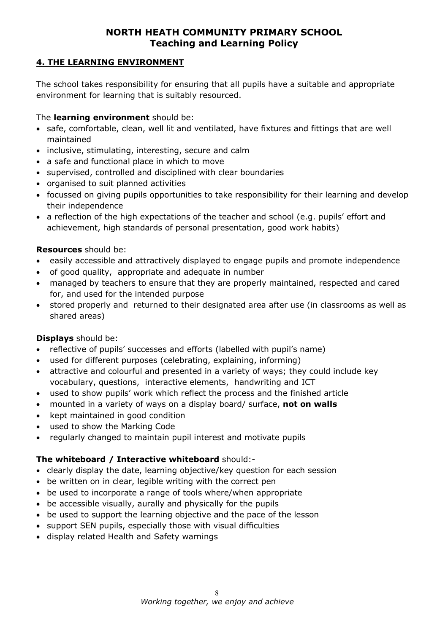### 4. THE LEARNING ENVIRONMENT

The school takes responsibility for ensuring that all pupils have a suitable and appropriate environment for learning that is suitably resourced.

### The **learning environment** should be:

- safe, comfortable, clean, well lit and ventilated, have fixtures and fittings that are well maintained
- inclusive, stimulating, interesting, secure and calm
- a safe and functional place in which to move
- supervised, controlled and disciplined with clear boundaries
- organised to suit planned activities
- focussed on giving pupils opportunities to take responsibility for their learning and develop their independence
- a reflection of the high expectations of the teacher and school (e.g. pupils' effort and achievement, high standards of personal presentation, good work habits)

### Resources should be:

- easily accessible and attractively displayed to engage pupils and promote independence
- of good quality, appropriate and adequate in number
- managed by teachers to ensure that they are properly maintained, respected and cared for, and used for the intended purpose
- stored properly and returned to their designated area after use (in classrooms as well as shared areas)

### Displays should be:

- reflective of pupils' successes and efforts (labelled with pupil's name)
- used for different purposes (celebrating, explaining, informing)
- attractive and colourful and presented in a variety of ways; they could include key vocabulary, questions, interactive elements, handwriting and ICT
- used to show pupils' work which reflect the process and the finished article
- mounted in a variety of ways on a display board/ surface, not on walls
- kept maintained in good condition
- used to show the Marking Code
- regularly changed to maintain pupil interest and motivate pupils

### The whiteboard / Interactive whiteboard should:-

- clearly display the date, learning objective/key question for each session
- be written on in clear, legible writing with the correct pen
- be used to incorporate a range of tools where/when appropriate
- be accessible visually, aurally and physically for the pupils
- be used to support the learning objective and the pace of the lesson
- support SEN pupils, especially those with visual difficulties
- display related Health and Safety warnings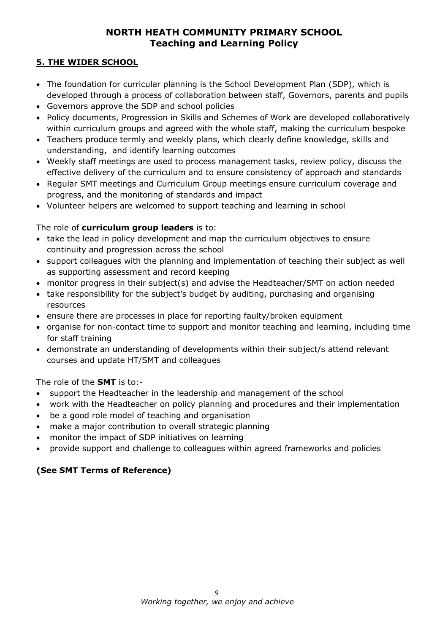### 5. THE WIDER SCHOOL

- The foundation for curricular planning is the School Development Plan (SDP), which is developed through a process of collaboration between staff, Governors, parents and pupils
- Governors approve the SDP and school policies
- Policy documents, Progression in Skills and Schemes of Work are developed collaboratively within curriculum groups and agreed with the whole staff, making the curriculum bespoke
- Teachers produce termly and weekly plans, which clearly define knowledge, skills and understanding, and identify learning outcomes
- Weekly staff meetings are used to process management tasks, review policy, discuss the effective delivery of the curriculum and to ensure consistency of approach and standards
- Regular SMT meetings and Curriculum Group meetings ensure curriculum coverage and progress, and the monitoring of standards and impact
- Volunteer helpers are welcomed to support teaching and learning in school

### The role of **curriculum group leaders** is to:

- take the lead in policy development and map the curriculum objectives to ensure continuity and progression across the school
- support colleagues with the planning and implementation of teaching their subject as well as supporting assessment and record keeping
- monitor progress in their subject(s) and advise the Headteacher/SMT on action needed
- take responsibility for the subject's budget by auditing, purchasing and organising resources
- ensure there are processes in place for reporting faulty/broken equipment
- organise for non-contact time to support and monitor teaching and learning, including time for staff training
- demonstrate an understanding of developments within their subject/s attend relevant courses and update HT/SMT and colleagues

The role of the **SMT** is to:-

- support the Headteacher in the leadership and management of the school
- work with the Headteacher on policy planning and procedures and their implementation
- be a good role model of teaching and organisation
- make a major contribution to overall strategic planning
- monitor the impact of SDP initiatives on learning
- provide support and challenge to colleagues within agreed frameworks and policies

### (See SMT Terms of Reference)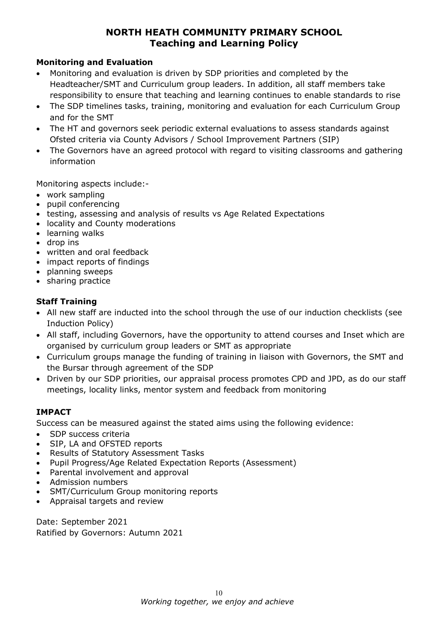### Monitoring and Evaluation

- Monitoring and evaluation is driven by SDP priorities and completed by the Headteacher/SMT and Curriculum group leaders. In addition, all staff members take responsibility to ensure that teaching and learning continues to enable standards to rise
- The SDP timelines tasks, training, monitoring and evaluation for each Curriculum Group and for the SMT
- The HT and governors seek periodic external evaluations to assess standards against Ofsted criteria via County Advisors / School Improvement Partners (SIP)
- The Governors have an agreed protocol with regard to visiting classrooms and gathering information

Monitoring aspects include:-

- work sampling
- pupil conferencing
- testing, assessing and analysis of results vs Age Related Expectations
- locality and County moderations
- learning walks
- drop ins
- written and oral feedback
- impact reports of findings
- planning sweeps
- sharing practice

# Staff Training

- All new staff are inducted into the school through the use of our induction checklists (see Induction Policy)
- All staff, including Governors, have the opportunity to attend courses and Inset which are organised by curriculum group leaders or SMT as appropriate
- Curriculum groups manage the funding of training in liaison with Governors, the SMT and the Bursar through agreement of the SDP
- Driven by our SDP priorities, our appraisal process promotes CPD and JPD, as do our staff meetings, locality links, mentor system and feedback from monitoring

### IMPACT

Success can be measured against the stated aims using the following evidence:

- SDP success criteria
- SIP, LA and OFSTED reports
- Results of Statutory Assessment Tasks
- Pupil Progress/Age Related Expectation Reports (Assessment)
- Parental involvement and approval
- Admission numbers
- SMT/Curriculum Group monitoring reports
- Appraisal targets and review

Date: September 2021 Ratified by Governors: Autumn 2021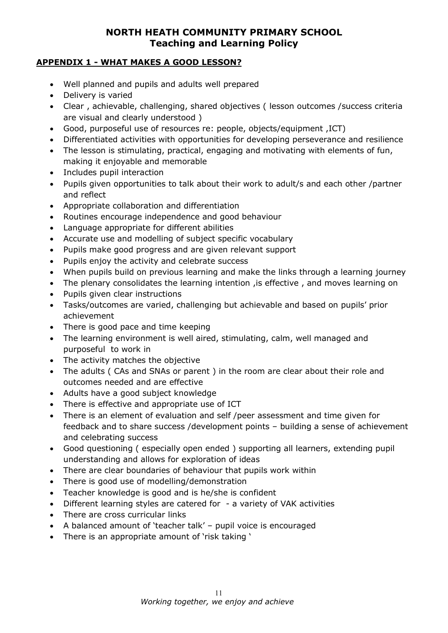#### APPENDIX 1 - WHAT MAKES A GOOD LESSON?

- Well planned and pupils and adults well prepared
- Delivery is varied
- Clear , achievable, challenging, shared objectives ( lesson outcomes /success criteria are visual and clearly understood )
- Good, purposeful use of resources re: people, objects/equipment ,ICT)
- Differentiated activities with opportunities for developing perseverance and resilience
- The lesson is stimulating, practical, engaging and motivating with elements of fun, making it enjoyable and memorable
- Includes pupil interaction
- Pupils given opportunities to talk about their work to adult/s and each other /partner and reflect
- Appropriate collaboration and differentiation
- Routines encourage independence and good behaviour
- Language appropriate for different abilities
- Accurate use and modelling of subject specific vocabulary
- Pupils make good progress and are given relevant support
- Pupils enjoy the activity and celebrate success
- When pupils build on previous learning and make the links through a learning journey
- The plenary consolidates the learning intention , is effective , and moves learning on
- Pupils given clear instructions
- Tasks/outcomes are varied, challenging but achievable and based on pupils' prior achievement
- There is good pace and time keeping
- The learning environment is well aired, stimulating, calm, well managed and purposeful to work in
- The activity matches the objective
- The adults ( CAs and SNAs or parent ) in the room are clear about their role and outcomes needed and are effective
- Adults have a good subject knowledge
- There is effective and appropriate use of ICT
- There is an element of evaluation and self /peer assessment and time given for feedback and to share success /development points – building a sense of achievement and celebrating success
- Good questioning ( especially open ended ) supporting all learners, extending pupil understanding and allows for exploration of ideas
- There are clear boundaries of behaviour that pupils work within
- There is good use of modelling/demonstration
- Teacher knowledge is good and is he/she is confident
- Different learning styles are catered for a variety of VAK activities
- There are cross curricular links
- A balanced amount of 'teacher talk' pupil voice is encouraged
- There is an appropriate amount of 'risk taking '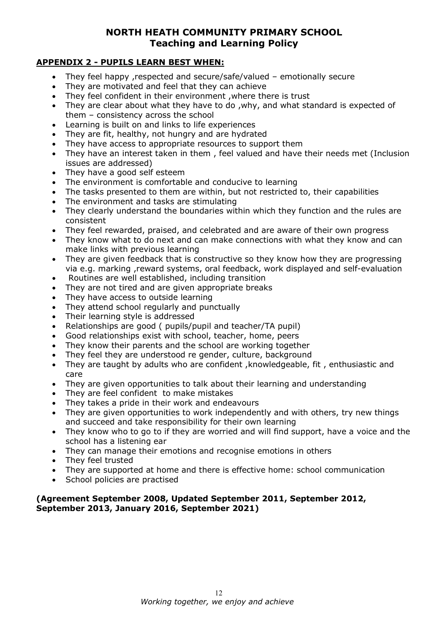#### APPENDIX 2 - PUPILS LEARN BEST WHEN:

- They feel happy ,respected and secure/safe/valued emotionally secure
- They are motivated and feel that they can achieve
- They feel confident in their environment ,where there is trust
- They are clear about what they have to do, why, and what standard is expected of them – consistency across the school
- Learning is built on and links to life experiences
- They are fit, healthy, not hungry and are hydrated
- They have access to appropriate resources to support them
- They have an interest taken in them , feel valued and have their needs met (Inclusion issues are addressed)
- They have a good self esteem
- The environment is comfortable and conducive to learning
- The tasks presented to them are within, but not restricted to, their capabilities
- The environment and tasks are stimulating
- They clearly understand the boundaries within which they function and the rules are consistent
- They feel rewarded, praised, and celebrated and are aware of their own progress
- They know what to do next and can make connections with what they know and can make links with previous learning
- They are given feedback that is constructive so they know how they are progressing via e.g. marking ,reward systems, oral feedback, work displayed and self-evaluation
- Routines are well established, including transition
- They are not tired and are given appropriate breaks
- They have access to outside learning
- They attend school regularly and punctually
- Their learning style is addressed
- Relationships are good ( pupils/pupil and teacher/TA pupil)
- Good relationships exist with school, teacher, home, peers
- They know their parents and the school are working together
- They feel they are understood re gender, culture, background
- They are taught by adults who are confident ,knowledgeable, fit , enthusiastic and care
- They are given opportunities to talk about their learning and understanding
- They are feel confident to make mistakes
- They takes a pride in their work and endeavours
- They are given opportunities to work independently and with others, try new things and succeed and take responsibility for their own learning
- They know who to go to if they are worried and will find support, have a voice and the school has a listening ear
- They can manage their emotions and recognise emotions in others
- They feel trusted
- They are supported at home and there is effective home: school communication
- School policies are practised

#### (Agreement September 2008, Updated September 2011, September 2012, September 2013, January 2016, September 2021)